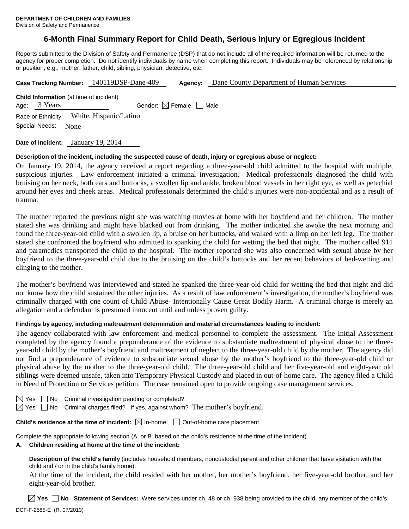#### Division of Safety and Permanence

# **6-Month Final Summary Report for Child Death, Serious Injury or Egregious Incident**

Reports submitted to the Division of Safety and Permanence (DSP) that do not include all of the required information will be returned to the agency for proper completion. Do not identify individuals by name when completing this report. Individuals may be referenced by relationship or position; e.g., mother, father, child, sibling, physician, detective, etc.

|                                                                     | Case Tracking Number: 140119DSP-Dane-409 | Agency: | Dane County Department of Human Services |
|---------------------------------------------------------------------|------------------------------------------|---------|------------------------------------------|
| <b>Child Information</b> (at time of incident)<br>3 Years<br>Age:   | Gender: $\boxtimes$ Female $\Box$ Male   |         |                                          |
| Race or Ethnicity: White, Hispanic/Latino<br>Special Needs:<br>None |                                          |         |                                          |
|                                                                     |                                          |         |                                          |

**Date of Incident:** January 19, 2014

# **Description of the incident, including the suspected cause of death, injury or egregious abuse or neglect:**

On January 19, 2014, the agency received a report regarding a three-year-old child admitted to the hospital with multiple, suspicious injuries. Law enforcement initiated a criminal investigation. Medical professionals diagnosed the child with bruising on her neck, both ears and buttocks, a swollen lip and ankle, broken blood vessels in her right eye, as well as petechial around her eyes and cheek areas. Medical professionals determined the child's injuries were non-accidental and as a result of trauma.

The mother reported the previous night she was watching movies at home with her boyfriend and her children. The mother stated she was drinking and might have blacked out from drinking. The mother indicated she awoke the next morning and found the three-year-old child with a swollen lip, a bruise on her buttocks, and walked with a limp on her left leg. The mother stated she confronted the boyfriend who admitted to spanking the child for wetting the bed that night. The mother called 911 and paramedics transported the child to the hospital. The mother reported she was also concerned with sexual abuse by her boyfriend to the three-year-old child due to the bruising on the child's buttocks and her recent behaviors of bed-wetting and clinging to the mother.

The mother's boyfriend was interviewed and stated he spanked the three-year-old child for wetting the bed that night and did not know how the child sustained the other injuries. As a result of law enforcement's investigation, the mother's boyfriend was criminally charged with one count of Child Abuse- Intentionally Cause Great Bodily Harm. A criminal charge is merely an allegation and a defendant is presumed innocent until and unless proven guilty.

# **Findings by agency, including maltreatment determination and material circumstances leading to incident:**

The agency collaborated with law enforcement and medical personnel to complete the assessment. The Initial Assessment completed by the agency found a preponderance of the evidence to substantiate maltreatment of physical abuse to the threeyear-old child by the mother's boyfriend and maltreatment of neglect to the three-year-old child by the mother. The agency did not find a preponderance of evidence to substantiate sexual abuse by the mother's boyfriend to the three-year-old child or physical abuse by the mother to the three-year-old child. The three-year-old child and her five-year-old and eight-year old siblings were deemed unsafe, taken into Temporary Physical Custody and placed in out-of-home care. The agency filed a Child in Need of Protection or Services petition. The case remained open to provide ongoing case management services.

|  | $\boxtimes$ Yes $\Box$ No Criminal investigation pending or completed? |                                                                                                 |
|--|------------------------------------------------------------------------|-------------------------------------------------------------------------------------------------|
|  |                                                                        | $\boxtimes$ Yes $\Box$ No Criminal charges filed? If yes, against whom? The mother's boyfriend. |

# **Child's residence at the time of incident:**  $\boxtimes$  In-home  $\Box$  Out-of-home care placement

Complete the appropriate following section (A. or B. based on the child's residence at the time of the incident).

# **A. Children residing at home at the time of the incident:**

**Description of the child's family** (includes household members, noncustodial parent and other children that have visitation with the child and / or in the child's family home):

At the time of the incident, the child resided with her mother, her mother's boyfriend, her five-year-old brother, and her eight-year-old brother.

**Yes No Statement of Services:** Were services under ch. 48 or ch. 938 being provided to the child, any member of the child's DCF-F-2585-E (R. 07/2013)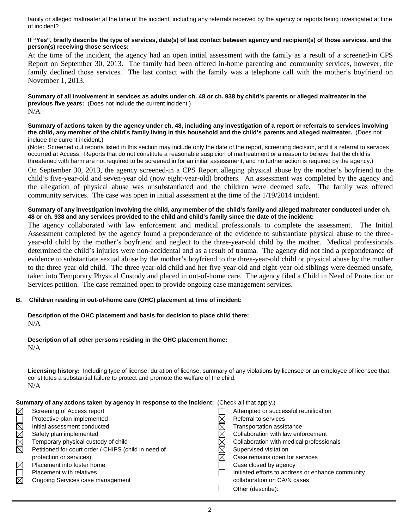family or alleged maltreater at the time of the incident, including any referrals received by the agency or reports being investigated at time of incident?

# **If "Yes", briefly describe the type of services, date(s) of last contact between agency and recipient(s) of those services, and the person(s) receiving those services:**

At the time of the incident, the agency had an open initial assessment with the family as a result of a screened-in CPS Report on September 30, 2013. The family had been offered in-home parenting and community services, however, the family declined those services. The last contact with the family was a telephone call with the mother's boyfriend on November 1, 2013.

**Summary of all involvement in services as adults under ch. 48 or ch. 938 by child's parents or alleged maltreater in the previous five years:** (Does not include the current incident.) N/A

#### **Summary of actions taken by the agency under ch. 48, including any investigation of a report or referrals to services involving the child, any member of the child's family living in this household and the child's parents and alleged maltreater.** (Does not include the current incident.)

(Note: Screened out reports listed in this section may include only the date of the report, screening decision, and if a referral to services occurred at Access. Reports that do not constitute a reasonable suspicion of maltreatment or a reason to believe that the child is threatened with harm are not required to be screened in for an initial assessment, and no further action is required by the agency.)

On September 30, 2013, the agency screened-in a CPS Report alleging physical abuse by the mother's boyfriend to the child's five-year-old and seven-year old (now eight-year-old) brothers. An assessment was completed by the agency and the allegation of physical abuse was unsubstantiated and the children were deemed safe. The family was offered community services. The case was open in initial assessment at the time of the 1/19/2014 incident.

### **Summary of any investigation involving the child, any member of the child's family and alleged maltreater conducted under ch. 48 or ch. 938 and any services provided to the child and child's family since the date of the incident:**

The agency collaborated with law enforcement and medical professionals to complete the assessment. The Initial Assessment completed by the agency found a preponderance of the evidence to substantiate physical abuse to the threeyear-old child by the mother's boyfriend and neglect to the three-year-old child by the mother. Medical professionals determined the child's injuries were non-accidental and as a result of trauma. The agency did not find a preponderance of evidence to substantiate sexual abuse by the mother's boyfriend to the three-year-old child or physical abuse by the mother to the three-year-old child. The three-year-old child and her five-year-old and eight-year old siblings were deemed unsafe, taken into Temporary Physical Custody and placed in out-of-home care. The agency filed a Child in Need of Protection or Services petition. The case remained open to provide ongoing case management services.

# **B. Children residing in out-of-home care (OHC) placement at time of incident:**

**Description of the OHC placement and basis for decision to place child there:** N/A

# **Description of all other persons residing in the OHC placement home:**

N/A

**Licensing history:** Including type of license, duration of license, summary of any violations by licensee or an employee of licensee that constitutes a substantial failure to protect and promote the welfare of the child. N/A

# **Summary of any actions taken by agency in response to the incident:** (Check all that apply.)

| $\boxtimes$ | Screening of Access report                           | Attempted or successful reunification             |
|-------------|------------------------------------------------------|---------------------------------------------------|
|             | Protective plan implemented                          | Referral to services                              |
| IMMO        | Initial assessment conducted                         | Transportation assistance                         |
|             | Safety plan implemented                              | Collaboration with law enforcement                |
| $\boxtimes$ | Temporary physical custody of child                  | Collaboration with medical professionals          |
|             | Petitioned for court order / CHIPS (child in need of | Supervised visitation                             |
|             | protection or services)                              | Case remains open for services                    |
| $\boxtimes$ | Placement into foster home                           | Case closed by agency                             |
| ∟           | <b>Placement with relatives</b>                      | Initiated efforts to address or enhance community |
| $\boxtimes$ | Ongoing Services case management                     | collaboration on CA/N cases                       |
|             |                                                      | Other (describe):                                 |